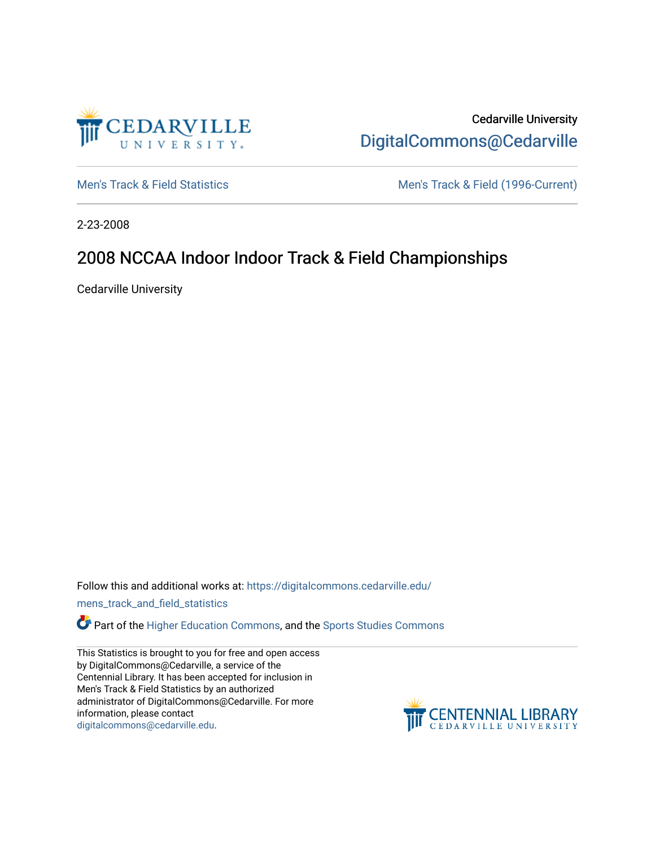

Cedarville University [DigitalCommons@Cedarville](https://digitalcommons.cedarville.edu/) 

[Men's Track & Field Statistics](https://digitalcommons.cedarville.edu/mens_track_and_field_statistics) [Men's Track & Field \(1996-Current\)](https://digitalcommons.cedarville.edu/mens_track_and_field) 

2-23-2008

# 2008 NCCAA Indoor Indoor Track & Field Championships

Cedarville University

Follow this and additional works at: [https://digitalcommons.cedarville.edu/](https://digitalcommons.cedarville.edu/mens_track_and_field_statistics?utm_source=digitalcommons.cedarville.edu%2Fmens_track_and_field_statistics%2F190&utm_medium=PDF&utm_campaign=PDFCoverPages)

[mens\\_track\\_and\\_field\\_statistics](https://digitalcommons.cedarville.edu/mens_track_and_field_statistics?utm_source=digitalcommons.cedarville.edu%2Fmens_track_and_field_statistics%2F190&utm_medium=PDF&utm_campaign=PDFCoverPages)

**Part of the [Higher Education Commons,](http://network.bepress.com/hgg/discipline/1245?utm_source=digitalcommons.cedarville.edu%2Fmens_track_and_field_statistics%2F190&utm_medium=PDF&utm_campaign=PDFCoverPages) and the Sports Studies Commons** 

This Statistics is brought to you for free and open access by DigitalCommons@Cedarville, a service of the Centennial Library. It has been accepted for inclusion in Men's Track & Field Statistics by an authorized administrator of DigitalCommons@Cedarville. For more information, please contact [digitalcommons@cedarville.edu](mailto:digitalcommons@cedarville.edu).

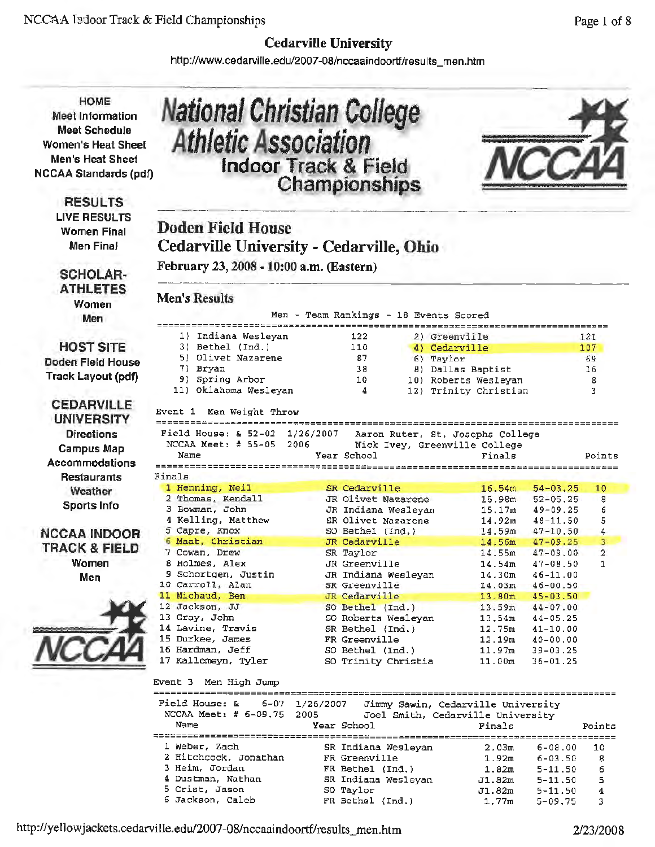http://www.cedarville.edu/2007-08/nccaaindoortf/results\_men.htm

**National Ghristian College Athletic Association** 

**HOME Meet Information Meet Schedule Women's Heat Sheet Men's Heat Sheet**  NC CAA Standards (pdf)

> **RESULTS**  LIVE RESULTS Women Final Men Final

SCHOLAR-ATHLETES Women Men

**HOST SITE**  Doden Field House Track Layout (pdf)

**CEDARVILLE UNIVERSITY Directions** Campus Map **Accommodations Restaurants** Weather Sports Info

**NCCAAINDOOR TRACK** & **FIELD**  Women Men



| <b>Indoor Track &amp; Field</b>                                                                                                                                                                                                                                                                                                                                                                         | Championships                                                                                                                                                                                                                                                                                                                           |                                             |                                                                                                                                                                                                                |                                                                                                                                                                                                                                                                              |                                       |  |  |  |
|---------------------------------------------------------------------------------------------------------------------------------------------------------------------------------------------------------------------------------------------------------------------------------------------------------------------------------------------------------------------------------------------------------|-----------------------------------------------------------------------------------------------------------------------------------------------------------------------------------------------------------------------------------------------------------------------------------------------------------------------------------------|---------------------------------------------|----------------------------------------------------------------------------------------------------------------------------------------------------------------------------------------------------------------|------------------------------------------------------------------------------------------------------------------------------------------------------------------------------------------------------------------------------------------------------------------------------|---------------------------------------|--|--|--|
| Doden Field House<br>Cedarville University - Cedarville, Ohio<br>February 23, 2008 - 10:00 a.m. (Eastern)                                                                                                                                                                                                                                                                                               |                                                                                                                                                                                                                                                                                                                                         |                                             |                                                                                                                                                                                                                |                                                                                                                                                                                                                                                                              |                                       |  |  |  |
| <b>Men's Results</b>                                                                                                                                                                                                                                                                                                                                                                                    |                                                                                                                                                                                                                                                                                                                                         |                                             |                                                                                                                                                                                                                |                                                                                                                                                                                                                                                                              |                                       |  |  |  |
| .================================                                                                                                                                                                                                                                                                                                                                                                       | Men – Team Rankings – 18 Events Scored                                                                                                                                                                                                                                                                                                  |                                             |                                                                                                                                                                                                                |                                                                                                                                                                                                                                                                              |                                       |  |  |  |
| 1) Indiana Wesleyan<br>3) Bethel (Ind.)<br>5) Olivet Nazarene<br>7) Bryan<br>9) Spring Arbor<br>11) Oklahoma Wesleyan                                                                                                                                                                                                                                                                                   | 122<br>110<br>87<br>38<br>10<br>4                                                                                                                                                                                                                                                                                                       | 2) Greenville<br>4) Cedarville<br>6) Taylor | 8) Dallas Baptist<br>10) Roberts Wesleyan<br>12) Trinity Christian                                                                                                                                             |                                                                                                                                                                                                                                                                              | 121<br>107<br>69<br>16<br>8<br>3      |  |  |  |
| Event 1 Men Weight Throw<br>======================================                                                                                                                                                                                                                                                                                                                                      |                                                                                                                                                                                                                                                                                                                                         |                                             |                                                                                                                                                                                                                |                                                                                                                                                                                                                                                                              |                                       |  |  |  |
| Field House: & 52-02<br>NCCAA Meet: $#$ 55-05<br>2006<br>Name<br>==================                                                                                                                                                                                                                                                                                                                     | 1/26/2007<br>Year School                                                                                                                                                                                                                                                                                                                | Nick Ivey, Greenville College               | Aaron Ruter, St. Josephs College<br>Finals                                                                                                                                                                     |                                                                                                                                                                                                                                                                              | Points                                |  |  |  |
| Finals                                                                                                                                                                                                                                                                                                                                                                                                  |                                                                                                                                                                                                                                                                                                                                         |                                             |                                                                                                                                                                                                                |                                                                                                                                                                                                                                                                              |                                       |  |  |  |
| 1 Henning, Neil<br>2 Thomas, Kendall<br>3 Bowman, John<br>4 Kelling, Matthew<br>5 Capre, Knox<br>6 Maat, Christian<br>7 Cowan, Drew<br>8 Holmes, Alex<br>9 Schortgen, Justin<br>10 Carroll, Alan<br>11 Michaud, Ben<br>12 Jackson, JJ<br>13 Gray, John<br>14 Lavine, Travis<br>15 Durkee, James<br>16 Hardman, Jeff<br>17 Kallemeyn, Tyler<br>Event 3 Men High Jump<br>Field House: &<br>6-07 1/26/2007 | SR Cedarville<br>JR Olivet Nazarene<br>JR Indiana Wesleyan<br>SR Olivet Nazarene<br>SO Bethel (Ind.)<br>JR Cedarville<br>SR Taylor<br>JR Greenville<br>JR Indiana Wesleyan<br>SR Greenville<br>JR Cedarville<br>SO Bethel (Ind.)<br>SO Roberts Wesleyan<br>SR Bethel (Ind.)<br>FR Greenville<br>SO Bethel (Ind.)<br>SO Trinity Christia |                                             | 16.54m<br>15.98m<br>15.17m<br>14.92m<br>14.59m<br>14.56m<br>14.55m<br>14.54m<br>14.30 <sub>m</sub><br>13.80m<br>13.59m<br>13.54m<br>12.75m<br>12.19m<br>11.97m<br>11.00m<br>Jimmy Sawin, Cedarville University | $54 - 03, 25$<br>$52 - 05.25$<br>49-09.25<br>$48 - 11,50$<br>$47 - 10.50$<br>$47 - 09.25$<br>$47 - 09.00$<br>$47 - 08.50$<br>$46 - 11.00$<br>$14.03m$ $46-00.50$<br>$45 - 03.50$<br>$44 - 07.00$<br>$44 - 05.25$<br>$41 - 10.00$<br>40-00.00<br>$39 - 03.25$<br>$36 - 01.25$ | 10<br>8<br>6<br>5<br>4<br>3<br>2<br>1 |  |  |  |
| NCCAA Meet: # 6-09.75<br>Name                                                                                                                                                                                                                                                                                                                                                                           | 2005<br>Year School                                                                                                                                                                                                                                                                                                                     |                                             | Joel Smith, Cedarville University<br>Finals                                                                                                                                                                    |                                                                                                                                                                                                                                                                              | Points                                |  |  |  |
| 1 Weber, Zach<br>2 Hitchcock, Jonathan<br>3 Heim, Jordan<br>4 Dustman, Nathan<br>5 Crist, Jason<br>6 Jackson, Caleb                                                                                                                                                                                                                                                                                     | SR Indiana Wesleyan<br>FR Greenville<br>FR Bethel (Ind.)<br>SR Indiana Wesleyan<br>SO Taylor<br>FR Bethel (Ind.)                                                                                                                                                                                                                        |                                             | 2.03m<br>1.92m<br>1.82m<br>J1.82m<br>J1.82m<br>1.77m                                                                                                                                                           | $6 - 08.00$<br>6-03.50<br>$5 - 11.50$<br>$5 - 11.50$<br>$5 - 11.50$<br>$5 - 09.75$                                                                                                                                                                                           | 10<br>8<br>6<br>5<br>4<br>3           |  |  |  |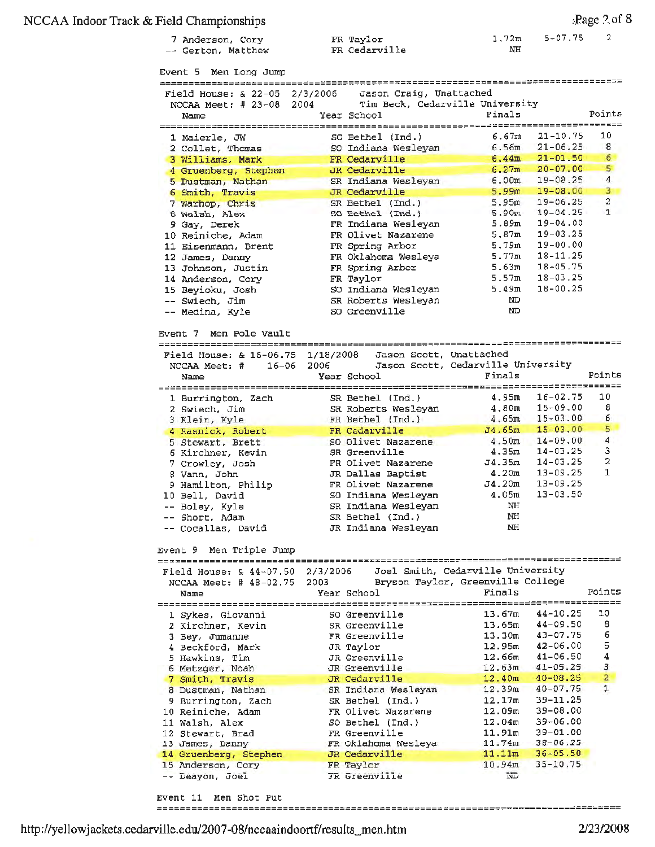#### NCCAA Indoor Track & Field Championships ::Page *?.* of 8

```
7 Anderson, Cory 
-- Gerton, Matthew 
Event 5 Men Long Jump 
 Field House: & 22-05 2/3/2006  Jason Craig, Unattached
  NCCAA Meet: # 23-08 
2004 Tim Beck, Cedarville University 
   Name Year School Finals
  1 Maierle, JW 
  2 Collet, Thomas 
  3 Williams, Mark 
4 Gruenberg, Stephen 
  5 Dustman, Nathan 
  6Smith, Travis 
  7 Warhop, Chris 
  8 Walsh, Alex 
  9 Gay, Derek 
 10 Reiniche, Adam 
 11 Eisenmann, Brent 
 12 James, Danny 
 13 Johnson, Justin 
 14 Anderson, Cory 
 15 Beyioku, Josh 
   Swiech, Jim 
   Medina, Kyle 
Event 7 Men Pole vault 
                       FR Taylor 
                       FR Cedarville 
                                             1.72m 
                                               NH 
                                                    5-07.75 
                       SO Bethel (Ind.) 6.67m 21-10.75 
                       so Indiana Wesleyan 6.56m 21-06.25 
                       FR Cedarville 6.44m 21-01.50 
                       JR Cedarville 6.27m 20-07.00
                       SR Indiana Wesleyan 6.00m 19-08.25 
                       JR Cedarville 5 .99m 19-08. 00 
                       SR Bethel (Ind.) 5.95m 19-06.25 
                       SO Bethel (Ind.) 5.90m 19-04.25 
                       FR Indiana Wesleyan 5.89m 19-04.00 
                       FR Olivet Nazarene 5.87m 19-03 .25 
                       FR Spring Arbor 5.79m 19-00.00 
                       FR Oklahoma Wesleya 5.77m 18-11.25 
                       FR Spring Arbor 5 .63m 18-05.75 
                       FR Taylor 5.57m 18-03.25 
                       so Indiana Wesleyan 5.49m 18-00.25 
                       SR Roberts Wesleyan ND 
                       so Greenville <sup>1</sup> and 100 ND
Field House: & 16-06.75 1/18/2008 Jason Scott, Unattached 
 NCCAA Meet: # 16-06 2006 Jason Scott, Cedarville University 
Name Year School Finals 
                                                            2 
                                                         Points 
                                                            10 
                                                             8 
                                                             6 
                                                            5 
                                                             4 
                                                             3 
                                                             2 
                                                             1 
                                                          Points 
--------------------=============================~===========--=~---------------- 1 Burrington, Zach 
 2 Swiech, Jim 
 3 Klein, Kyle 
 4 Rasnick, Robert 
 5 Stewart, Brett
 6Kirchner, Kevin 
 7 Crowley, Josh 
 8 Vann, John 
 9Hamilton, Philip 
 10 Bell, David 
   Boley, Kyle 
   Short, Adam 
   Cocallas, David 
Event 9 Men Triple Jump 
Field House: & 44-07.50 
 NCCAA Meet: # 48-02.75 
   Name 
                       SR Bethel (Ind.) 4.95m 16-02.75 10 
                       SR Roberts Wesleyan 4.80m 15-09.00 8
                       FR Bethel (Ind.} 4.65m 15-03.00 6 
                       FR Cedarville J4.65m 15-03. 00 5
                       so Olivet Nazarene 4.50m 14-09.00 4 
                       SR Greenville 4.35m 14-03.25 3 
                       FR Olivet Nazarene J4.35m 14-03.25 2
                       JR Dallas Baptist 4.20m 13-09.25 1 
                       FR Olivet Nazarene J4. 20m 13-09 .25 
                       so Indiana Wesleyan 4.05m 13-03.50 
                       SR Indiana Wesleyan NH
                       SR Bethel (Ind.) NH
                       JR Indiana Wesleyan NH 
                    2/3/2006 Joel Smith, Cedarville University 
                    2003 Bryson Taylor, Greenville College 
           Year School Finals Points
--------==================------~======~~~==-=-~-------=~=====------------------- 1 Sykes, Giovanni so Greenville 13.67m 44-10.25 10 
 2 Einer, Kevin SR Greenville 13.65m 44-09.50 8
 3 Bey, Jumanne FR Greenville 13. 30m 43-07.75 6
 4 Beckford, Mark JR Taylor 12.95m 42-06.00 5 
 5 Hawkins, Tim JR Greenville 12.66m 41-06.50 4 
 6 Metzger, Noah JR Greenville 12.63m 41-05.25 3 
 7Smith, Travis JR Ced_arville 12.40m 40-08.25 2 
 8 Dustman, Nathan SR Indiana Wesleyan 12.39m 40-07.75 1
 9 Burrington, Zach SR Bethel (Ind.) 12.17m 39-11.25
 10 Reiniche, Adam FR Olivet Nazarene 12.09m 39-08.00 
11 Walsh, Alex so Bethel (Ind.) 12.04m 39-06.00 
12 Stewart, Brad FR Greenville 11.91m 39-01.00
13 James, Danny FR Oklahoma Wesleya 11.74m 38-06.25
14 Gruenberg, Stephen JR Cedarville 11.llm 36-05.50 
15 Anderson, Cory FR Taylor 10.94m 35-10.75 
   Deayon, Joel FR Greenville ND
```
http://yellowjackets.cedarville.edu/2007-08/nccaaindoortf/results\_men.htm 2/23/2008

Event 11 **Men** Shot Put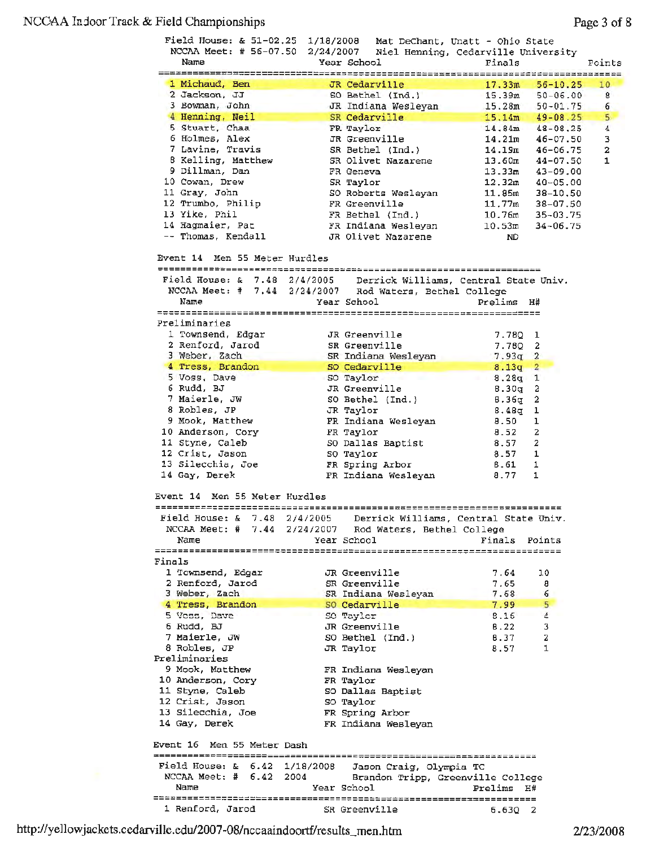## NCOAA Irdoor Track & Field Championships

|                                                         |                                                               | Field House: & 51-02.25 1/18/2008 Mat DeChant, Unatt - Ohio State<br>NCCAA Meet: # 56-07.50 2/24/2007 Niel Henning, Cedarville University |                                                                                                                     |                |
|---------------------------------------------------------|---------------------------------------------------------------|-------------------------------------------------------------------------------------------------------------------------------------------|---------------------------------------------------------------------------------------------------------------------|----------------|
| Name                                                    | Year School                                                   | Finals                                                                                                                                    |                                                                                                                     | Points         |
| 1 Michaud, Ben                                          | JR Cedarville                                                 | 17.33m                                                                                                                                    | $56 - 10.25$                                                                                                        | 10             |
| 2 Jackson, JJ                                           | SO Bethel (Ind.)                                              |                                                                                                                                           | $15.39m$ $50-06.00$                                                                                                 | 8              |
| 3 Bowman, John                                          | JR Indiana Wesleyan                                           |                                                                                                                                           | $15.28m$ $50-01.75$                                                                                                 | 6              |
| 4 Henning, Neil                                         | SR Cedarville                                                 |                                                                                                                                           | $15.14m$ $49-08.25$                                                                                                 | 5              |
| 5 Stuart, Chaa                                          | FR Taylor                                                     |                                                                                                                                           | $14.84m$ $48-08.25$                                                                                                 | $\overline{4}$ |
| 6 Holmes, Alex                                          | JR Greenville                                                 |                                                                                                                                           | 14.21m 46-07.50                                                                                                     | 3              |
| 7 Lavine, Travis                                        | SR Bethel (Ind.)<br>SR Olivet Nazarene                        |                                                                                                                                           | $14.19m$ $46-06.75$                                                                                                 | 2              |
| 8 Kelling, Matthew                                      |                                                               |                                                                                                                                           | $13.60m$ $44-07.50$                                                                                                 | 1              |
| 9 Dillman, Dan                                          | FR Geneva                                                     |                                                                                                                                           | $13.33m$ $43-09.00$                                                                                                 |                |
| 10 Cowan, Drew                                          | SR Taylor<br>SO Roberts Wesleyan                              |                                                                                                                                           | $12.32m$ $40-05.00$<br>$\begin{array}{cccc} & -1 & *0 = 05,00 \\ 11.85m & 38 - 10.50 \\ 11.77m & 0 & 0 \end{array}$ |                |
| 11 Gray, John                                           | FR Greenville                                                 |                                                                                                                                           |                                                                                                                     |                |
| 12 Trumbo, Philip                                       |                                                               |                                                                                                                                           | $11.77m$ 38-07.50                                                                                                   |                |
| 13 Yike, Phil                                           |                                                               |                                                                                                                                           | $10.76m$ 35-03.75                                                                                                   |                |
| 14 Hagmaier, Pat<br>-- Thomas, Kendall                  | FR Bethel (Ind.)<br>FR Indiana Wesleyan<br>JR Olivet Nazarene | ND                                                                                                                                        | $10.53m$ $34-06.75$                                                                                                 |                |
|                                                         |                                                               |                                                                                                                                           |                                                                                                                     |                |
| Event 14 Men 55 Meter Hurdles                           |                                                               |                                                                                                                                           |                                                                                                                     |                |
|                                                         |                                                               | Field House: & 7.48 2/4/2005 Derrick Williams, Central State Univ.                                                                        |                                                                                                                     |                |
| NCCAA Meet: # 7.44 2/24/2007 Rod Waters, Bethel College |                                                               |                                                                                                                                           |                                                                                                                     |                |
| Name                                                    | Year School                                                   | Prelims H#                                                                                                                                |                                                                                                                     |                |
|                                                         |                                                               |                                                                                                                                           |                                                                                                                     |                |
| Preliminaries                                           |                                                               |                                                                                                                                           |                                                                                                                     |                |
| 1 Townsend, Edgar                                       | JR Greenville                                                 | 7.780 1                                                                                                                                   |                                                                                                                     |                |
| 2 Renford, Jarod                                        | SR Greenville                                                 | 7.780 2                                                                                                                                   |                                                                                                                     |                |
| 3 Weber, Zach                                           | SR Indiana Wesleyan                                           | $7.93q$ 2                                                                                                                                 |                                                                                                                     |                |
| 4 Tress, Brandon                                        | SO Cedarville                                                 | $8.13q$ 2                                                                                                                                 |                                                                                                                     |                |
| 5 Voss, Dave                                            | SO Taylor                                                     | $8.28q$ 1                                                                                                                                 |                                                                                                                     |                |
| 6 Rudd, BJ                                              | JR Greenville                                                 | 8.30g                                                                                                                                     | 2                                                                                                                   |                |
| 7 Maierle, JW<br>8 Robles, JP                           | SO Bethel (Ind.)                                              | $B.36q$ 2                                                                                                                                 |                                                                                                                     |                |
|                                                         | JR Taylor                                                     | 8.48g 1                                                                                                                                   |                                                                                                                     |                |
| 9 Mook, Matthew                                         | FR Indiana Wesleyan                                           | 8.50                                                                                                                                      | ı                                                                                                                   |                |
| 10 Anderson, Cory                                       | FR Taylor                                                     | 8.52                                                                                                                                      | $\mathbf{2}$                                                                                                        |                |
| 11 Styne, Caleb                                         | SO Dallas Baptist                                             | 8.57 2                                                                                                                                    |                                                                                                                     |                |
| 12 Crist, Jason                                         | SO Taylor                                                     | $8.57$ 1                                                                                                                                  |                                                                                                                     |                |
| 13 Silecchia, Joe                                       | FR Spring Arbor                                               | $8.61$ 1                                                                                                                                  |                                                                                                                     |                |
| 14 Gay, Derek                                           | FR Indiana Wesleyan                                           | $8.77$ 1                                                                                                                                  |                                                                                                                     |                |
| Event 14 Men 55 Meter Hurdles                           |                                                               |                                                                                                                                           |                                                                                                                     |                |
|                                                         |                                                               | Field House: & 7.48 2/4/2005 Derrick Williams, Central State Univ.                                                                        |                                                                                                                     |                |
| NCCAA Meet: # 7.44 2/24/2007 Rod Waters, Bethel College |                                                               |                                                                                                                                           |                                                                                                                     |                |
| Name                                                    | Year School                                                   | Finals Points                                                                                                                             |                                                                                                                     |                |
|                                                         |                                                               |                                                                                                                                           |                                                                                                                     |                |
| Finals                                                  |                                                               |                                                                                                                                           |                                                                                                                     |                |
| 1 Townsend, Edgar                                       | JR Greenville                                                 | 7.64                                                                                                                                      | 10                                                                                                                  |                |
| 2 Renford, Jarod                                        | SR Greenville                                                 | 7.65                                                                                                                                      | 8                                                                                                                   |                |
| 3 Weber, Zach                                           | SR Indiana Wesleyan                                           | 7.68                                                                                                                                      | 6                                                                                                                   |                |
| 4 Tress, Brandon                                        | SO Cedarville                                                 | 7.99                                                                                                                                      | 5 <sup>5</sup>                                                                                                      |                |
| 5 Voss, Dave                                            | SO Taylor                                                     | 8.16                                                                                                                                      | 4                                                                                                                   |                |
| 6 Rudd, BJ                                              | JR Greenville                                                 | B.22                                                                                                                                      | 3                                                                                                                   |                |
| 7 Maierle, JW                                           | SO Bethel (Ind.)                                              | 8.37                                                                                                                                      | 2                                                                                                                   |                |
| 8 Robles, JP                                            | JR Taylor                                                     | 8.57                                                                                                                                      | 1                                                                                                                   |                |
| Preliminaries                                           |                                                               |                                                                                                                                           |                                                                                                                     |                |
| 9 Mook, Matthew                                         | FR Indiana Wesleyan                                           |                                                                                                                                           |                                                                                                                     |                |
| 10 Anderson, Cory                                       | FR Taylor                                                     |                                                                                                                                           |                                                                                                                     |                |
| 11 Styne, Caleb                                         | SO Dallas Baptist                                             |                                                                                                                                           |                                                                                                                     |                |
| 12 Crist, Jason                                         | SO Taylor                                                     |                                                                                                                                           |                                                                                                                     |                |
| 13 Silecchia, Joe                                       | FR Spring Arbor                                               |                                                                                                                                           |                                                                                                                     |                |
| 14 Gay, Derek                                           | FR Indiana Wesleyan                                           |                                                                                                                                           |                                                                                                                     |                |
| Event 16 Men 55 Meter Dash                              |                                                               |                                                                                                                                           |                                                                                                                     |                |
|                                                         |                                                               |                                                                                                                                           |                                                                                                                     |                |
| Field House: $\& 6.42$ 1/18/2008                        |                                                               | Jason Craig, Olympia TC                                                                                                                   |                                                                                                                     |                |
|                                                         |                                                               | NCCAA Meet: # 6.42 2004 Brandon Tripp, Greenville College                                                                                 |                                                                                                                     |                |
| Name                                                    | Year School                                                   | Prelims                                                                                                                                   | Η#                                                                                                                  |                |
|                                                         |                                                               |                                                                                                                                           |                                                                                                                     |                |
| 1 Renford, Jarod                                        | SR Greenville                                                 | $6.63Q$ 2                                                                                                                                 |                                                                                                                     |                |

http://yellowjackets.cedarville.edu/2007-08/nccaaindoortf/results\_men.htm 2/23/2008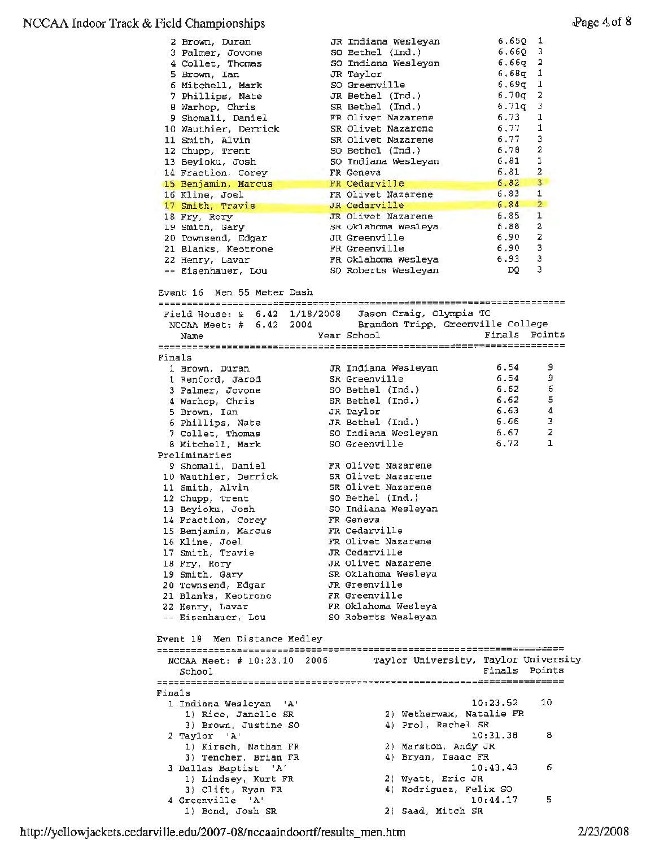### NCCAA Indoor Track & Field Championships

|                                                                                                     | 2 Brown, Duran<br>3 Palmer, Jovone<br>4 Collet, Thomas<br>5 Brown, Ian<br>6 Mitchell, Mark<br>7 Phillips, Nate<br>8 Warhop, Chris<br>9 Shomali, Daniel<br>10 Wauthier, Derrick<br>11 Smith, Alvin<br>12 Chupp, Trent<br>13 Beyioku, Josh<br>14 Fraction, Corey<br>15 Benjamin, Marcus<br>16 Kline, Joel<br>17 Smith, Travis |  | JR Indiana Wesleyan<br>SO Bethel (Ind.)<br>SO Indiana Wesleyan<br>JR Taylor<br>SO Greenville<br>JR Bethel (Ind.)<br>SR Bethel (Ind.)<br>FR Olivet Nazarene<br>SR Olivet Nazarene<br>SR Olivet Nazarene<br>SO Bethel (Ind.)<br>SO Indiana Wesleyan<br>FR Geneva<br>FR Cedarville<br>FR Olivet Nazarene<br>JR Cedarville | $6.65Q$ 1<br>$6.66Q$ 3<br>$6.66q$ 2<br>$6.68q$ 1<br>$6.69q$ 1<br>$6.70q$ 2<br>6.71q<br>6.73<br>6.77<br>6.77<br>6.78<br>6.81<br>6.81<br>6.82<br>6.83<br>6.84 | 3<br>ı<br>1<br>3<br>$\overline{a}$<br>1<br>$\overline{2}$<br>$\overline{3}$<br>$\mathbf{1}$<br>$\overline{2}$ |  |
|-----------------------------------------------------------------------------------------------------|-----------------------------------------------------------------------------------------------------------------------------------------------------------------------------------------------------------------------------------------------------------------------------------------------------------------------------|--|------------------------------------------------------------------------------------------------------------------------------------------------------------------------------------------------------------------------------------------------------------------------------------------------------------------------|-------------------------------------------------------------------------------------------------------------------------------------------------------------|---------------------------------------------------------------------------------------------------------------|--|
|                                                                                                     | 18 Fry, Rory                                                                                                                                                                                                                                                                                                                |  | JR Olivet Nazarene                                                                                                                                                                                                                                                                                                     | 6.85                                                                                                                                                        | 1                                                                                                             |  |
|                                                                                                     | 19 Smith, Gary                                                                                                                                                                                                                                                                                                              |  | SR Oklahoma Wesleya                                                                                                                                                                                                                                                                                                    | 6.88                                                                                                                                                        | $\mathbf{2}$                                                                                                  |  |
|                                                                                                     | 20 Townsend, Edgar                                                                                                                                                                                                                                                                                                          |  | JR Greenville                                                                                                                                                                                                                                                                                                          | 6.90 2                                                                                                                                                      |                                                                                                               |  |
|                                                                                                     | 21 Blanks, Keotrone                                                                                                                                                                                                                                                                                                         |  | FR Greenville                                                                                                                                                                                                                                                                                                          | 6.90                                                                                                                                                        | з                                                                                                             |  |
|                                                                                                     | 22 Henry, Lavar                                                                                                                                                                                                                                                                                                             |  | FR Oklahoma Wesleya                                                                                                                                                                                                                                                                                                    | 6.93                                                                                                                                                        | 3                                                                                                             |  |
|                                                                                                     | -- Eisenhauer, Lou                                                                                                                                                                                                                                                                                                          |  | SO Roberts Wesleyan                                                                                                                                                                                                                                                                                                    | DQ.                                                                                                                                                         | 3                                                                                                             |  |
|                                                                                                     | Event 16 Men 55 Meter Dash                                                                                                                                                                                                                                                                                                  |  |                                                                                                                                                                                                                                                                                                                        |                                                                                                                                                             |                                                                                                               |  |
|                                                                                                     | Field House: $\& 6.42 \quad 1/18/2008$<br>NCCAA Meet: # 6.42 2004                                                                                                                                                                                                                                                           |  | Jason Craig, Olympia TC<br>Brandon Tripp, Greenville College                                                                                                                                                                                                                                                           |                                                                                                                                                             |                                                                                                               |  |
|                                                                                                     | Name                                                                                                                                                                                                                                                                                                                        |  | Year School                                                                                                                                                                                                                                                                                                            | Finals Points                                                                                                                                               |                                                                                                               |  |
|                                                                                                     |                                                                                                                                                                                                                                                                                                                             |  |                                                                                                                                                                                                                                                                                                                        |                                                                                                                                                             |                                                                                                               |  |
| Finals                                                                                              |                                                                                                                                                                                                                                                                                                                             |  |                                                                                                                                                                                                                                                                                                                        |                                                                                                                                                             |                                                                                                               |  |
|                                                                                                     | 1 Brown, Duran                                                                                                                                                                                                                                                                                                              |  | JR Indiana Wesleyan                                                                                                                                                                                                                                                                                                    | 6.54                                                                                                                                                        | 9                                                                                                             |  |
|                                                                                                     | 1 Renford, Jarod                                                                                                                                                                                                                                                                                                            |  | SR Greenville                                                                                                                                                                                                                                                                                                          | 6.54                                                                                                                                                        | 9                                                                                                             |  |
|                                                                                                     | 3 Palmer, Jovone                                                                                                                                                                                                                                                                                                            |  | SO Bethel (Ind.)                                                                                                                                                                                                                                                                                                       | 6.62                                                                                                                                                        | 6                                                                                                             |  |
|                                                                                                     | 4 Warhop, Chris                                                                                                                                                                                                                                                                                                             |  | SR Bethel (Ind.)                                                                                                                                                                                                                                                                                                       | 6.62                                                                                                                                                        | 5                                                                                                             |  |
|                                                                                                     | 5 Brown, Ian                                                                                                                                                                                                                                                                                                                |  | JR Taylor                                                                                                                                                                                                                                                                                                              | 6.63                                                                                                                                                        | 4                                                                                                             |  |
|                                                                                                     | 6 Phillips, Nate                                                                                                                                                                                                                                                                                                            |  | JR Bethel (Ind.)                                                                                                                                                                                                                                                                                                       | 6.66                                                                                                                                                        | 3                                                                                                             |  |
|                                                                                                     | 7 Collet, Thomas                                                                                                                                                                                                                                                                                                            |  | SO Indiana Wesleyan                                                                                                                                                                                                                                                                                                    | 6.67                                                                                                                                                        | 2                                                                                                             |  |
|                                                                                                     | 8 Mitchell, Mark                                                                                                                                                                                                                                                                                                            |  | SO Greenville                                                                                                                                                                                                                                                                                                          | 6,72                                                                                                                                                        | 1                                                                                                             |  |
|                                                                                                     | Preliminaries                                                                                                                                                                                                                                                                                                               |  |                                                                                                                                                                                                                                                                                                                        |                                                                                                                                                             |                                                                                                               |  |
|                                                                                                     | 9 Shomali, Daniel                                                                                                                                                                                                                                                                                                           |  | FR Olivet Nazarene                                                                                                                                                                                                                                                                                                     |                                                                                                                                                             |                                                                                                               |  |
|                                                                                                     | 10 Wauthier, Derrick                                                                                                                                                                                                                                                                                                        |  | SR Olivet Nazarene                                                                                                                                                                                                                                                                                                     |                                                                                                                                                             |                                                                                                               |  |
|                                                                                                     | 11 Smith, Alvin                                                                                                                                                                                                                                                                                                             |  | SR Olivet Nazarene                                                                                                                                                                                                                                                                                                     |                                                                                                                                                             |                                                                                                               |  |
|                                                                                                     | 12 Chupp, Trent                                                                                                                                                                                                                                                                                                             |  | SO Bethel (Ind.)                                                                                                                                                                                                                                                                                                       |                                                                                                                                                             |                                                                                                               |  |
|                                                                                                     | 13 Beyioku, Josh                                                                                                                                                                                                                                                                                                            |  | SO Indiana Wesleyan                                                                                                                                                                                                                                                                                                    |                                                                                                                                                             |                                                                                                               |  |
|                                                                                                     | 14 Fraction, Corey                                                                                                                                                                                                                                                                                                          |  | FR Geneva                                                                                                                                                                                                                                                                                                              |                                                                                                                                                             |                                                                                                               |  |
|                                                                                                     | 15 Benjamin, Marcus                                                                                                                                                                                                                                                                                                         |  | FR Cedarville                                                                                                                                                                                                                                                                                                          |                                                                                                                                                             |                                                                                                               |  |
|                                                                                                     | 16 Kline, Joel                                                                                                                                                                                                                                                                                                              |  | FR Olivet Nazarene                                                                                                                                                                                                                                                                                                     |                                                                                                                                                             |                                                                                                               |  |
|                                                                                                     | 17 Smith, Travie                                                                                                                                                                                                                                                                                                            |  | JR Cedarville                                                                                                                                                                                                                                                                                                          |                                                                                                                                                             |                                                                                                               |  |
|                                                                                                     | 18 Fry, Rory                                                                                                                                                                                                                                                                                                                |  | JR Olivet Nazarene                                                                                                                                                                                                                                                                                                     |                                                                                                                                                             |                                                                                                               |  |
|                                                                                                     | 19 Smith, Gary                                                                                                                                                                                                                                                                                                              |  | SR Oklahoma Wesleya<br>JR Greenville                                                                                                                                                                                                                                                                                   |                                                                                                                                                             |                                                                                                               |  |
|                                                                                                     | 20 Townsend, Edgar<br>21 Blanks, Keotrone                                                                                                                                                                                                                                                                                   |  | FR Greenville                                                                                                                                                                                                                                                                                                          |                                                                                                                                                             |                                                                                                               |  |
|                                                                                                     | 22 Henry, Lavar                                                                                                                                                                                                                                                                                                             |  | FR Oklahoma Wesleya                                                                                                                                                                                                                                                                                                    |                                                                                                                                                             |                                                                                                               |  |
|                                                                                                     | -- Eisenhauer, Lou                                                                                                                                                                                                                                                                                                          |  | SO Roberts Wesleyan                                                                                                                                                                                                                                                                                                    |                                                                                                                                                             |                                                                                                               |  |
| Event 18 – Men Distance Medley                                                                      |                                                                                                                                                                                                                                                                                                                             |  |                                                                                                                                                                                                                                                                                                                        |                                                                                                                                                             |                                                                                                               |  |
| Taylor University, Taylor University<br>NCCAA Meet: $# 10:23.10$<br>2006<br>Finals Points<br>School |                                                                                                                                                                                                                                                                                                                             |  |                                                                                                                                                                                                                                                                                                                        |                                                                                                                                                             |                                                                                                               |  |
| Finals                                                                                              |                                                                                                                                                                                                                                                                                                                             |  |                                                                                                                                                                                                                                                                                                                        |                                                                                                                                                             |                                                                                                               |  |
|                                                                                                     | 1 Indiana Wesleyan<br>- 'A'                                                                                                                                                                                                                                                                                                 |  |                                                                                                                                                                                                                                                                                                                        | 10:23.52                                                                                                                                                    | 10                                                                                                            |  |
|                                                                                                     | 1) Rice, Janelle SR                                                                                                                                                                                                                                                                                                         |  |                                                                                                                                                                                                                                                                                                                        | 2) Wetherwax, Natalie FR                                                                                                                                    |                                                                                                               |  |
|                                                                                                     | 3) Brown, Justine SO                                                                                                                                                                                                                                                                                                        |  | 4) Prol, Rachel SR                                                                                                                                                                                                                                                                                                     |                                                                                                                                                             |                                                                                                               |  |
|                                                                                                     | 2 Taylor<br>$^{\prime}$ A $^{\prime}$                                                                                                                                                                                                                                                                                       |  |                                                                                                                                                                                                                                                                                                                        | 10:31.38                                                                                                                                                    | 8                                                                                                             |  |
|                                                                                                     | 1) Kirsch, Nathan FR                                                                                                                                                                                                                                                                                                        |  | 2) Marston, Andy JR                                                                                                                                                                                                                                                                                                    |                                                                                                                                                             |                                                                                                               |  |
|                                                                                                     | 3) Tencher, Brian FR                                                                                                                                                                                                                                                                                                        |  | 4) Bryan, Isaac FR                                                                                                                                                                                                                                                                                                     |                                                                                                                                                             |                                                                                                               |  |
|                                                                                                     | 3 Dallas Baptist 'A'                                                                                                                                                                                                                                                                                                        |  |                                                                                                                                                                                                                                                                                                                        | 10:43.43                                                                                                                                                    | 6                                                                                                             |  |
|                                                                                                     | 1) Lindsey, Kurt FR                                                                                                                                                                                                                                                                                                         |  | 2) Wyatt, Eric JR                                                                                                                                                                                                                                                                                                      |                                                                                                                                                             |                                                                                                               |  |
|                                                                                                     | 3) Clift, Ryan FR                                                                                                                                                                                                                                                                                                           |  |                                                                                                                                                                                                                                                                                                                        | 4) Rodriguez, Felix SO                                                                                                                                      |                                                                                                               |  |
|                                                                                                     | 4 Greenville 'A'<br>1) Bond, Josh SR                                                                                                                                                                                                                                                                                        |  | 2) Saad, Mitch SR                                                                                                                                                                                                                                                                                                      | 10:44.17                                                                                                                                                    | 5                                                                                                             |  |
|                                                                                                     |                                                                                                                                                                                                                                                                                                                             |  |                                                                                                                                                                                                                                                                                                                        |                                                                                                                                                             |                                                                                                               |  |

http://yellowjackets.cedarville.edu/2007-08/nccaaindoortf/results\_men.htm 2/23/2008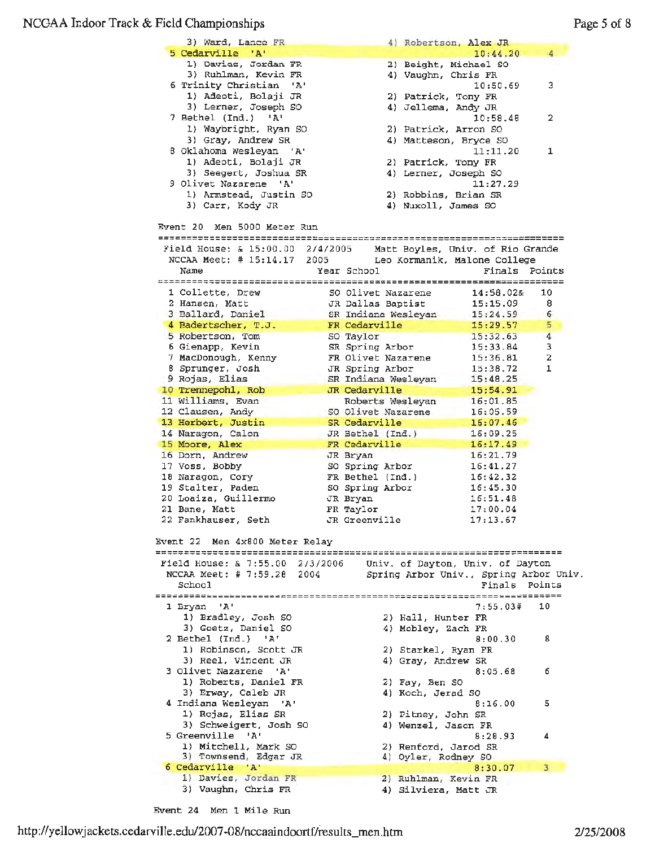#### NCGAA Ir.door Track & Field Championships

| 3) Ward, Lance FR                                                | 4) Robertson, Alex JR        |                                        |
|------------------------------------------------------------------|------------------------------|----------------------------------------|
| 5 Cedarville 'A'                                                 |                              | 10:44.20<br>4                          |
| 1) Davies, Jordan FR                                             | 2) Beight, Michael SO        |                                        |
| 3) Ruhlman, Kevin FR                                             | 4) Vaughn, Chris FR          |                                        |
| 6 Trinity Christian<br>'A'                                       |                              | 10:50.69<br>3                          |
| 1) Adeoti, Bolaji JR                                             | 2) Patrick, Tony FR          |                                        |
| 3) Lerner, Joseph SO                                             | 4) Jellema, Andy JR          |                                        |
| 7 Bethel (Ind.) 'A'                                              |                              | 10:58.48<br>2                          |
| 1) Waybright, Ryan SO                                            | 2) Patrick, Arron SO         |                                        |
| 3) Gray, Andrew SR                                               | 4) Matteson, Bryce SO        |                                        |
| 8 Oklahoma Wesleyan 'A'                                          |                              | 11:11.20<br>1                          |
| 1) Adeoti, Bolaji JR                                             | 2) Patrick, Tony FR          |                                        |
| 3) Seegert, Joshua SR                                            | 4) Lerner, Joseph SO         |                                        |
| 9 Olivet Nazarene 'A'                                            |                              | 11:27.29                               |
| 1) Armstead, Justin SO                                           | 2) Robbins, Brian SR         |                                        |
| 3) Carr, Kody JR                                                 | 4) Nuxoll, James SO          |                                        |
|                                                                  |                              |                                        |
| Event 20 Men 5000 Meter Run                                      |                              |                                        |
|                                                                  |                              |                                        |
| Field House: & 15:00.00 2/4/2005                                 |                              | Matt Boyles, Univ. of Rio Grande       |
| NCCAA Meet: # 15:14.17 2005                                      | Leo Kormanik, Malone College |                                        |
| Name                                                             | Year School                  | Finals Points                          |
|                                                                  |                              |                                        |
| 1 Collette, Drew                                                 | SO Olivet Nazarene           | 14:58.02&<br>10                        |
| 2 Hansen, Matt                                                   | JR Dallas Baptist            | 8<br>15:15.09                          |
| 3 Ballard, Daniel                                                | SR Indiana Wesleyan          | 15:24.59<br>6                          |
|                                                                  |                              | 15:29.57<br>5                          |
| 4 Badertscher, T.J.                                              | FR Cedarville                |                                        |
| 5 Robertson, Tom                                                 | SO Taylor                    | $\overline{4}$<br>15:32.63             |
| 6 Gienapp, Kevin                                                 | SR Spring Arbor              | 3<br>15:33.84                          |
| 7 MacDonough, Kenny                                              | FR Olivet Nazarene           | $\overline{\mathbf{2}}$<br>15:36.81    |
| 8 Sprunger, Josh                                                 | JR Spring Arbor              | 1<br>15:38.72                          |
| 9 Rojas, Elias                                                   | SR Indiana Wesleyan          | 15:48.25                               |
| 10 Trennepohl, Rob                                               | JR Cedarville                | 15:54.91                               |
| 11 Williams, Evan                                                | Roberts Wesleyan             | 16:01.85                               |
| 12 Clausen, Andy                                                 | SO Olivet Nazarene           | 16:05.59                               |
| 13 Herbert, Justin                                               | SR Cedarville                | 16:07.46                               |
| 14 Naragon, Calon                                                | JR Bethel (Ind.)             | 16:09.25                               |
| 15 Moore, Alex                                                   | FR Cedarville                | 16:17.49                               |
| 16 Dorn, Andrew                                                  | JR Brvan                     | 16:21.79                               |
| 17 Voss, Bobby                                                   | SO Spring Arbor              | 16:41.27                               |
| 18 Naragon, Cory                                                 | FR Bethel (Ind.)             | 16:42.32                               |
| 19 Stalter, Paden                                                | SO Spring Arbor              | 16:45.30                               |
| 20 Loaiza, Guillermo                                             | JR Bryan                     | 16:51.48                               |
| 21 Bane, Matt                                                    | FR Taylor                    | 17:00.04                               |
| 22 Fankhauser, Seth                                              | JR Greenville                | 17:13.67                               |
|                                                                  |                              |                                        |
| Event 22 Men 4x800 Meter Relay                                   |                              |                                        |
|                                                                  |                              |                                        |
| Field House: & 7:55.00 2/3/2006 Univ. of Dayton, Univ. of Dayton |                              |                                        |
| NCCAA Meet: $# 7:59.28 2004$                                     |                              | Spring Arbor Univ., Spring Arbor Univ. |
| School                                                           |                              | Finals<br>Points                       |
|                                                                  |                              |                                        |
| 1 Bryan<br>י גי                                                  |                              | 7:55.03#<br>10                         |
|                                                                  |                              |                                        |
| 1) Bradley, Josh SO                                              | 2) Hall, Hunter FR           |                                        |
| 3) Goetz, Daniel SO                                              | 4) Mobley, Zach FR           |                                        |
| 2 Bethel (Ind.) 'A'                                              |                              | 8:00.30<br>8                           |
| 1) Robinson, Scott JR                                            | 2) Starkel, Ryan FR          |                                        |
| 3) Reel, Vincent JR                                              | 4) Gray, Andrew SR           |                                        |
| 3 Olivet Nazarene 'A'                                            |                              | 8:05.68<br>б                           |
| 1) Roberts, Daniel FR                                            | 2) Fay, Ben SO               |                                        |
| 3) Erway, Caleb JR                                               | 4) Koch, Jerad SO            |                                        |
| 4 Indiana Wesleyan 'A'                                           |                              | 5<br>8:16.00                           |
| 1) Rojas, Elias SR                                               | 2) Pitney, John SR           |                                        |
| 3) Schweigert, Josh SO                                           | 4) Wenzel, Jason FR          |                                        |
| 5 Greenville 'A'                                                 |                              | 8:28.93<br>4                           |
| 1) Mitchell, Mark SO                                             | 2) Renford, Jarod SR         |                                        |
| 3) Townsend, Edgar JR                                            | 4) Oyler, Rodney SO          |                                        |
| 6 Cedarville 'A'                                                 |                              | 3<br>8:30.07                           |
| 1) Davies, Jordan FR                                             | 2) Ruhlman, Kevin FR         |                                        |
| 3) Vaughn, Chris FR                                              | 4) Silviera, Matt JR         |                                        |
|                                                                  |                              |                                        |

Event 24 Men 1 Mile Run

http://yellowj ackets .cedarvi Jle.edu/2007-08/nccaaindoortf /results\_men.htm 2/25/2008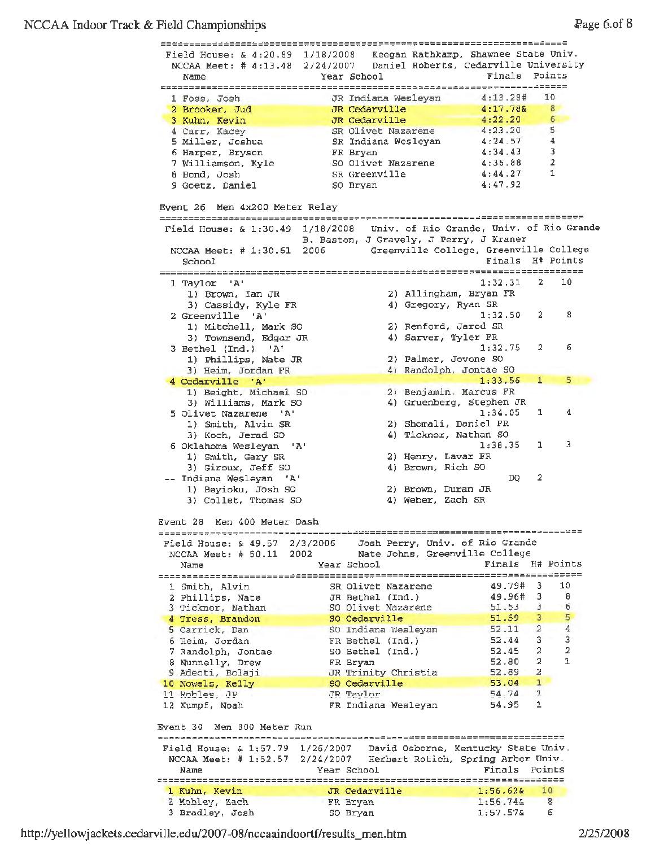## NCCAA Indoor Track & Field Championships  $\frac{1}{2}$  age 6.of 8

|                                                                           | Field House: & 4:20.89 1/18/2008 Keegan Rathkamp, Shawnee State Univ.<br>NCCAA Meet: # 4:13.48 2/24/2007 Daniel Roberts, Cedarville University |                                                |
|---------------------------------------------------------------------------|------------------------------------------------------------------------------------------------------------------------------------------------|------------------------------------------------|
| Name                                                                      | Year School                                                                                                                                    | Finals Points                                  |
|                                                                           |                                                                                                                                                |                                                |
| 1 Foss, Josh                                                              | JR Indiana Weslevan                                                                                                                            | 10<br>4:13.28#                                 |
| 2 Brooker, Jud                                                            | JR Cedarville                                                                                                                                  | $8^{\circ}$<br>4:17.788                        |
| 3 Kuhn, Kevin                                                             | JR Cedarville                                                                                                                                  | 4:22.20<br>$\boldsymbol{6}$<br>4:23.20<br>5    |
| 4 Carr, Kacey                                                             | SR Olivet Nazarene                                                                                                                             | 4<br>4:24.57                                   |
| 5 Miller, Joshua<br>6 Harper, Bryson                                      | SR Indiana Wesleyan<br>FR Bryan                                                                                                                | 3<br>4:34.43                                   |
| 7 Williamson, Kyle                                                        | SO Olivet Nazarene                                                                                                                             | 2<br>4:36.88                                   |
| 8 Bond, Josh                                                              | SR Greenville                                                                                                                                  | 1<br>4:44.27                                   |
| 9 Goetz, Daniel                                                           | SO Bryan                                                                                                                                       | 4:47.92                                        |
| Event 26 Men 4x200 Meter Relay                                            |                                                                                                                                                |                                                |
|                                                                           | Field House: & 1:30.49 1/18/2008 Univ. of Rio Grande, Univ. of Rio Grande                                                                      |                                                |
|                                                                           | B. Baston, J Gravely, J Perry, J Kraner                                                                                                        |                                                |
| School                                                                    | NCCAA Meet: # 1:30.61 2006 Greenville College, Greenville College                                                                              | Finals H# Points                               |
|                                                                           |                                                                                                                                                | 10<br>1:32.31<br>$\mathbf{2}$                  |
| 1 Taylor 'A'<br>1) Brown, Ian JR                                          | 2) Allingham, Bryan FR                                                                                                                         |                                                |
| 3) Cassidy, Kyle FR                                                       | 4) Gregory, Ryan SR                                                                                                                            |                                                |
| 2 Greenville 'A'                                                          |                                                                                                                                                | 8<br>1:32.50<br>2.                             |
| 1) Mitchell, Mark SO                                                      | 2) Renford, Jarod SR                                                                                                                           |                                                |
| 3) Townsend, Edgar JR                                                     | 4) Sarver, Tyler FR                                                                                                                            |                                                |
| 3 Bethel (Ind.)<br>$A^t$                                                  |                                                                                                                                                | 2<br>6<br>1:32.75                              |
| 1) Phillips, Nate JR                                                      | 2) Palmer, Jovone SO                                                                                                                           |                                                |
| 3) Heim, Jordan FR                                                        | 4) Randolph, Jontae 50                                                                                                                         |                                                |
| 4 Cedarville 'A'                                                          |                                                                                                                                                | 5<br>1:33.56<br>1.                             |
| 1) Beight, Michael SO                                                     | 2) Benjamin, Marcus FR                                                                                                                         |                                                |
| 3) Williams, Mark SO                                                      | 4) Gruenberg, Stephen JR                                                                                                                       |                                                |
| 5 Olivet Nazarene<br>$^{\circ}$ A <sup><math>^{\circ}</math></sup>        |                                                                                                                                                | 1:34.05<br>1<br>4                              |
| 1) Smith, Alvin SR                                                        | 2) Shomali, Daniel FR<br>4) Ticknor, Nathan SO                                                                                                 |                                                |
| 3) Koch, Jerad SO<br>6 Oklahoma Wesleyan 'A'                              |                                                                                                                                                | 3<br>1:30.35<br>ı                              |
| 1) Smith, Gary SR                                                         | 2) Henry, Lavar FR                                                                                                                             |                                                |
| 3) Giroux, Jeff SO                                                        | 4) Brown, Rich SO                                                                                                                              |                                                |
| -- Indiana Wesleyan 'A'                                                   |                                                                                                                                                | 2<br>DQ                                        |
| 1) Beyioku, Josh SO                                                       | 2) Brown, Duran JR                                                                                                                             |                                                |
| 3) Collet, Thomas SO                                                      | 4) Weber, Zach SR                                                                                                                              |                                                |
| Event 28<br>Men 400 Meter Dash                                            |                                                                                                                                                |                                                |
|                                                                           |                                                                                                                                                |                                                |
| Field House: $\& 49.57 \quad 2/3/2006$                                    | Josh Perry, Univ. of Rio Grande                                                                                                                |                                                |
| NCCAA Meet: $# 50.11 2002$                                                | Nate Johns, Greenville College                                                                                                                 |                                                |
| Name                                                                      | Year School                                                                                                                                    | Finals H# Points                               |
|                                                                           |                                                                                                                                                |                                                |
| 1 Smith, Alvin                                                            | SR Olivet Nazarene                                                                                                                             | 49.79#<br>3.<br>10                             |
| 2 Phillips, Nate                                                          | JR Bethel (Ind.)                                                                                                                               | 49.96# 3<br>8                                  |
| 3 Ticknor, Nathan                                                         | SO Olivet Nazarene                                                                                                                             | $3 \t 6$<br>51.53                              |
| 4 Tress, Brandon                                                          | SO Cedarville                                                                                                                                  | $\overline{3}$<br>5<br>51.59<br>$\overline{2}$ |
| 5 Carrick, Dan                                                            | SO Indiana Wesleyan                                                                                                                            | 4<br>52.11<br>$3^{\circ}$<br>3<br>52.44        |
| 6 Heim, Jordan                                                            | FR Bethel (Ind.)<br>SO Bethel (Ind.)                                                                                                           | $\overline{a}$<br>52.45<br>2                   |
| 7 Randolph, Jontae<br>8 Nunnelly, Drew                                    | FR Bryan                                                                                                                                       | 1<br>2<br>52.80                                |
| 9 Adeoti, Bolaji                                                          | JR Trinity Christia                                                                                                                            | 2<br>52.89                                     |
| 10 Nowels, Kelly                                                          | SO Cedarville                                                                                                                                  | 53.04<br>$\mathbf{1}$                          |
| 11 Robles, JP                                                             | JR Taylor                                                                                                                                      | 54.74<br>1                                     |
| 12 Kumpf, Noah                                                            | FR Indiana Wesleyan                                                                                                                            | 1<br>54.95                                     |
|                                                                           |                                                                                                                                                |                                                |
| Event 30 Men 800 Meter Run                                                |                                                                                                                                                |                                                |
|                                                                           |                                                                                                                                                |                                                |
| Field House: $\& 1:57.79$ 1/26/2007<br>NCCAA Meet: $\# 1:52.57 2/24/2007$ | David Osborne, Kentucky State Univ.<br>Herbert Rotich, Spring Arbor Univ.                                                                      |                                                |
| Name                                                                      | Year School                                                                                                                                    | Finals Points                                  |
|                                                                           |                                                                                                                                                |                                                |
| 1 Kuhn, Kevin                                                             | JR Cedarville                                                                                                                                  | 10<br>1:56.628                                 |
| 2 Mobley, Zach                                                            | FR Bryan                                                                                                                                       | $1:56.745$ 8                                   |
| 3 Bradley, Josh                                                           | SO Bryan                                                                                                                                       | $1:57.57$ &<br>6                               |

http://yellowjackets.cedarville.edu/2007-08/nccaaindoortf/results\_men.htm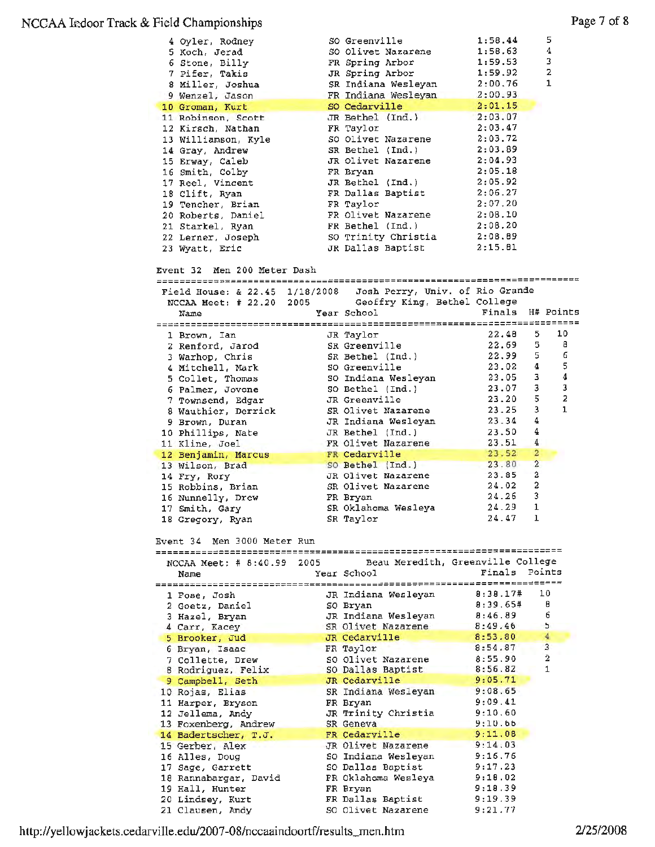### NCCAA kdoor Track & Field Championships

| 4 Oyler, Rodney<br>5 Koch, Jerad<br>6 Stone, Billy<br>7 Pifer, Takis<br>8 Miller, Joshua<br>9 Wenzel, Jason |      | SO Greenville<br>SO Olivet Nazarene<br>FR Spring Arbor<br>JR Spring Arbor<br>SR Indiana Wesleyan<br>FR Indiana Wesleyan | 1:58.44<br>1:58.63<br>1:59.53<br>1:59.92<br>2:00.76<br>2:00.93 | 5<br>4<br>3<br>2<br>1   |
|-------------------------------------------------------------------------------------------------------------|------|-------------------------------------------------------------------------------------------------------------------------|----------------------------------------------------------------|-------------------------|
| 10 Groman, Kurt<br>11 Robinson, Scott                                                                       |      | SO Cedarville<br>JR Bethel (Ind.)                                                                                       | 2:01.15<br>2:03.07                                             |                         |
| 12 Kirsch, Nathan                                                                                           |      | FR Taylor                                                                                                               | 2:03.47                                                        |                         |
| 13 Williamson, Kyle                                                                                         |      | SO Olivet Nazarene                                                                                                      | 2:03.72                                                        |                         |
| 14 Gray, Andrew                                                                                             |      | SR Bethel (Ind.)                                                                                                        | 2:03.89                                                        |                         |
| 15 Erway, Caleb                                                                                             |      | JR Olivet Nazarene                                                                                                      | 2:04.93                                                        |                         |
| 16 Smith, Colby                                                                                             |      | FR Bryan                                                                                                                | 2:05.18                                                        |                         |
| 17 Reel, Vincent                                                                                            |      | JR Bethel $(Ind.)$                                                                                                      | 2:05.92                                                        |                         |
| 18 Clift, Ryan                                                                                              |      | FR Dallas Baptist                                                                                                       | 2:06.27                                                        |                         |
| 19 Tencher, Brian                                                                                           |      | FR Taylor                                                                                                               | 2:07.20                                                        |                         |
| 20 Roberts, Daniel                                                                                          |      | FR Olivet Nazarene                                                                                                      | 2:08.10                                                        |                         |
| 21 Starkel, Ryan                                                                                            |      | FR Bethel (Ind.)                                                                                                        | 2:08.20                                                        |                         |
| 22 Lerner, Joseph                                                                                           |      | SO Trinity Christia                                                                                                     | 2:08.89<br>2:15.81                                             |                         |
| 23 Wyatt, Eric                                                                                              |      | JR Dallas Baptist                                                                                                       |                                                                |                         |
| Event 32 Men 200 Meter Dash<br>Field House: & 22.45 1/18/2008                                               |      | Josh Perry, Univ. of Rio Grande                                                                                         |                                                                |                         |
| NCCAA Meet: # 22.20 2005                                                                                    |      | Geoffry King, Bethel College                                                                                            |                                                                |                         |
| Name                                                                                                        |      | Year School                                                                                                             | Finals                                                         | H# Points               |
|                                                                                                             |      |                                                                                                                         |                                                                |                         |
| 1 Brown, Ian                                                                                                |      | JR Taylor                                                                                                               | 22,48<br>22.69                                                 | 10<br>5.<br>5.<br>8     |
| 2 Renford, Jarod                                                                                            |      | SR Greenville<br>SR Bethel (Ind.)                                                                                       | 22.99                                                          | 6<br>5.                 |
| 3 Warhop, Chris<br>4 Mitchell, Mark                                                                         |      | SO Greenville                                                                                                           | 23.02                                                          | 5<br>4                  |
| 5 Collet, Thomas                                                                                            |      | SO Indiana Wesleyan                                                                                                     | 23.05                                                          | 4<br>з                  |
| 6 Palmer, Jovone                                                                                            |      | SO Bethel (Ind.)                                                                                                        | 23.07                                                          | 3<br>3                  |
| 7 Townsend, Edgar                                                                                           |      | JR Greenville                                                                                                           | 23.20                                                          | 5<br>$\overline{z}$     |
| 8 Wauthier, Derrick                                                                                         |      | SR Olivet Nazarene                                                                                                      | 23.25                                                          | 3<br>1                  |
| 9 Brown, Duran                                                                                              |      | JR Indiana Wesleyan                                                                                                     | 23.34                                                          | 4                       |
| 10 Phillips, Nate                                                                                           |      | JR Bethel (Ind.)                                                                                                        | 23.50                                                          | 4                       |
| 11 Kline, Joel                                                                                              |      | FR Olivet Nazarene                                                                                                      | 23.51                                                          | 4                       |
| 12 Benjamin, Marcus                                                                                         |      | FR Cedarville                                                                                                           | 23.52                                                          | $\overline{\mathbf{2}}$ |
| 13 Wilson, Brad                                                                                             |      | SO Bethel (Ind.)                                                                                                        | 23.80                                                          | $\overline{a}$          |
| 14 Fry, Rory                                                                                                |      | JR Olivet Nazarene                                                                                                      | 23.85                                                          | 2                       |
| 15 Robbins, Brian                                                                                           |      | SR Olivet Nazarene<br>FR Bryan                                                                                          | 24.02<br>24.26                                                 | 2<br>3                  |
| 16 Nunnelly, Drew<br>17 Smith, Gary                                                                         |      | SR Oklahoma Wesleya                                                                                                     | 24.29                                                          | 1                       |
| 18 Gregory, Ryan                                                                                            |      | SR Taylor                                                                                                               | 24.47                                                          | 1                       |
| Men 3000 Meter Run<br>Event 34                                                                              |      |                                                                                                                         | ----------------------- <b>-----------</b> --                  |                         |
| NCCAA Meet: # 8:40.99                                                                                       | 2005 | Beau Meredith, Greenville College                                                                                       |                                                                |                         |
| Name                                                                                                        |      | Year School                                                                                                             | Finals                                                         | Points                  |
|                                                                                                             |      |                                                                                                                         |                                                                | =====                   |
| 1 Fose, Josh                                                                                                |      | JR Indiana Wesleyan                                                                                                     | 8:38.17#                                                       | 10                      |
| 2 Goetz, Daniel                                                                                             |      | SO Bryan                                                                                                                | 8:39.65#<br>8:46.89                                            | 8<br>6                  |
| 3 Hazel, Bryan                                                                                              |      | JR Indiana Wesleyan<br>SR Olivet Nazarene                                                                               | 8:49.46                                                        | 5                       |
| 4 Carr, Kacey<br>5 Brooker, Jud                                                                             |      | JR Cedarville                                                                                                           | 8:53.80                                                        | $\overline{4}$          |
| 6 Bryan, Isaac                                                                                              |      | FR Taylor                                                                                                               | 8:54.87                                                        | 3                       |
| 7 Collette, Drew                                                                                            |      | SO Olivet Nazarene                                                                                                      | 8:55.90                                                        | $\overline{\mathbf{2}}$ |
| 8 Rodriguez, Felix                                                                                          |      | SO Dallas Baptist                                                                                                       | 8:56.82                                                        | $\mathbf{1}$            |
| 9 Campbell, Seth                                                                                            |      | JR Cedarville                                                                                                           | 9:05.71                                                        |                         |
| 10 Rojas, Elias                                                                                             |      | SR Indiana Wesleyan                                                                                                     | 9:08.65                                                        |                         |
| 11 Harper, Bryson                                                                                           |      | FR Bryan                                                                                                                | 9:09.41                                                        |                         |
| 12 Jellema, Andy                                                                                            |      | JR Trinity Christia                                                                                                     | 9:10.60                                                        |                         |
| 13 Foxenberg, Andrew                                                                                        |      | SR Geneva                                                                                                               | 9:10.66                                                        |                         |
| 14 Badertscher, T.J.                                                                                        |      | FR Cedarville                                                                                                           | 9:11.08                                                        |                         |
| 15 Gerber, Alex                                                                                             |      | JR Olivet Nazarene                                                                                                      | 9:14.03<br>9:16.76                                             |                         |
| 16 Alles, Doug<br>17 Sage, Garrett                                                                          |      | SO Indiana Wesleyan<br>SO Dallas Baptist                                                                                | 9:17.23                                                        |                         |
| 18 Rannabargar, David                                                                                       |      | FR Oklahoma Wesleya                                                                                                     | 9:18.02                                                        |                         |
| 19 Hall, Hunter                                                                                             |      | FR Bryan                                                                                                                | 9:18.39                                                        |                         |
|                                                                                                             |      |                                                                                                                         |                                                                |                         |
| 20 Lindsey, Kurt                                                                                            |      | FR Dallas Baptist                                                                                                       | 9:19.39                                                        |                         |

http://yellowjackets.cedarville.edu/2007-08/nccaaindoortf/results\_men .htm 2/25/2008